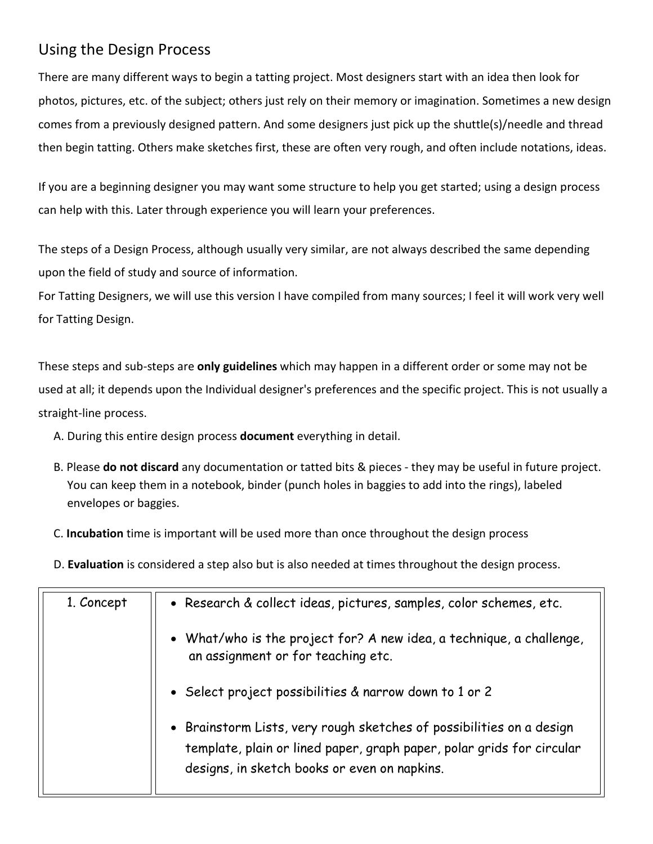## Using the Design Process

There are many different ways to begin a tatting project. Most designers start with an idea then look for photos, pictures, etc. of the subject; others just rely on their memory or imagination. Sometimes a new design comes from a previously designed pattern. And some designers just pick up the shuttle(s)/needle and thread then begin tatting. Others make sketches first, these are often very rough, and often include notations, ideas.

If you are a beginning designer you may want some structure to help you get started; using a design process can help with this. Later through experience you will learn your preferences.

The steps of a Design Process, although usually very similar, are not always described the same depending upon the field of study and source of information.

For Tatting Designers, we will use this version I have compiled from many sources; I feel it will work very well for Tatting Design.

These steps and sub-steps are **only guidelines** which may happen in a different order or some may not be used at all; it depends upon the Individual designer's preferences and the specific project. This is not usually a straight-line process.

- A. During this entire design process **document** everything in detail.
- B. Please **do not discard** any documentation or tatted bits & pieces they may be useful in future project. You can keep them in a notebook, binder (punch holes in baggies to add into the rings), labeled envelopes or baggies.
- C. **Incubation** time is important will be used more than once throughout the design process

D. **Evaluation** is considered a step also but is also needed at times throughout the design process.

| 1. Concept | • Research & collect ideas, pictures, samples, color schemes, etc.                                                                                                                            |
|------------|-----------------------------------------------------------------------------------------------------------------------------------------------------------------------------------------------|
|            | • What/who is the project for? A new idea, a technique, a challenge,<br>an assignment or for teaching etc.                                                                                    |
|            | • Select project possibilities & narrow down to 1 or 2                                                                                                                                        |
|            | • Brainstorm Lists, very rough sketches of possibilities on a design<br>template, plain or lined paper, graph paper, polar grids for circular<br>designs, in sketch books or even on napkins. |